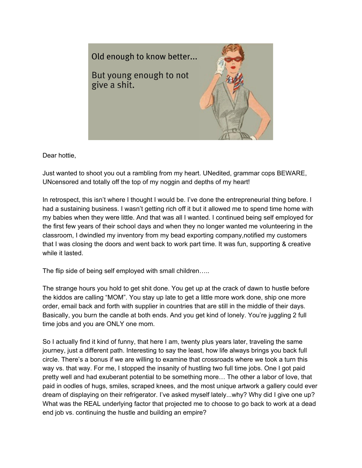

Dear hottie,

Just wanted to shoot you out a rambling from my heart. UNedited, grammar cops BEWARE, UNcensored and totally off the top of my noggin and depths of my heart!

In retrospect, this isn't where I thought I would be. I've done the entrepreneurial thing before. I had a sustaining business. I wasn't getting rich off it but it allowed me to spend time home with my babies when they were little. And that was all I wanted. I continued being self employed for the first few years of their school days and when they no longer wanted me volunteering in the classroom, I dwindled my inventory from my bead exporting company,notified my customers that I was closing the doors and went back to work part time. It was fun, supporting & creative while it lasted.

The flip side of being self employed with small children…..

The strange hours you hold to get shit done. You get up at the crack of dawn to hustle before the kiddos are calling "MOM". You stay up late to get a little more work done, ship one more order, email back and forth with supplier in countries that are still in the middle of their days. Basically, you burn the candle at both ends. And you get kind of lonely. You're juggling 2 full time jobs and you are ONLY one mom.

So I actually find it kind of funny, that here I am, twenty plus years later, traveling the same journey, just a different path. Interesting to say the least, how life always brings you back full circle. There's a bonus if we are willing to examine that crossroads where we took a turn this way vs. that way. For me, I stopped the insanity of hustling two full time jobs. One I got paid pretty well and had exuberant potential to be something more… The other a labor of love, that paid in oodles of hugs, smiles, scraped knees, and the most unique artwork a gallery could ever dream of displaying on their refrigerator. I've asked myself lately...why? Why did I give one up? What was the REAL underlying factor that projected me to choose to go back to work at a dead end job vs. continuing the hustle and building an empire?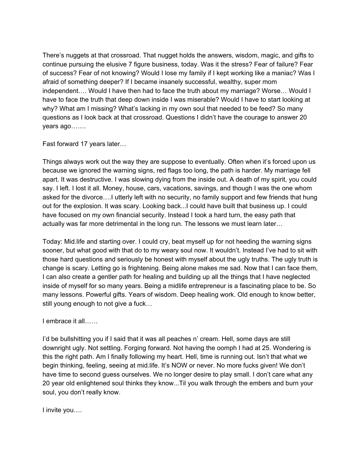There's nuggets at that crossroad. That nugget holds the answers, wisdom, magic, and gifts to continue pursuing the elusive 7 figure business, today. Was it the stress? Fear of failure? Fear of success? Fear of not knowing? Would I lose my family if I kept working like a maniac? Was I afraid of something deeper? If I became insanely successful, wealthy, super mom independent…. Would I have then had to face the truth about my marriage? Worse… Would I have to face the truth that deep down inside I was miserable? Would I have to start looking at why? What am I missing? What's lacking in my own soul that needed to be feed? So many questions as I look back at that crossroad. Questions I didn't have the courage to answer 20 years ago…….

Fast forward 17 years later…

Things always work out the way they are suppose to eventually. Often when it's forced upon us because we ignored the warning signs, red flags too long, the path is harder. My marriage fell apart. It was destructive. I was slowing dying from the inside out. A death of my spirit, you could say. I left. I lost it all. Money, house, cars, vacations, savings, and though I was the one whom asked for the divorce….I utterly left with no security, no family support and few friends that hung out for the explosion. It was scary. Looking back...I could have built that business up. I could have focused on my own financial security. Instead I took a hard turn, the easy path that actually was far more detrimental in the long run. The lessons we must learn later…

Today: Mid.life and starting over. I could cry, beat myself up for not heeding the warning signs sooner, but what good with that do to my weary soul now. It wouldn't. Instead I've had to sit with those hard questions and seriously be honest with myself about the ugly truths. The ugly truth is change is scary. Letting go is frightening. Being alone makes me sad. Now that I can face them, I can also create a gentler path for healing and building up all the things that I have neglected inside of myself for so many years. Being a midlife entrepreneur is a fascinating place to be. So many lessons. Powerful gifts. Years of wisdom. Deep healing work. Old enough to know better, still young enough to not give a fuck…

I embrace it all……

I'd be bullshitting you if I said that it was all peaches n' cream. Hell, some days are still downright ugly. Not settling. Forging forward. Not having the oomph I had at 25. Wondering is this the right path. Am I finally following my heart. Hell, time is running out. Isn't that what we begin thinking, feeling, seeing at mid.life. It's NOW or never. No more fucks given! We don't have time to second guess ourselves. We no longer desire to play small. I don't care what any 20 year old enlightened soul thinks they know...Til you walk through the embers and burn your soul, you don't really know.

I invite you….